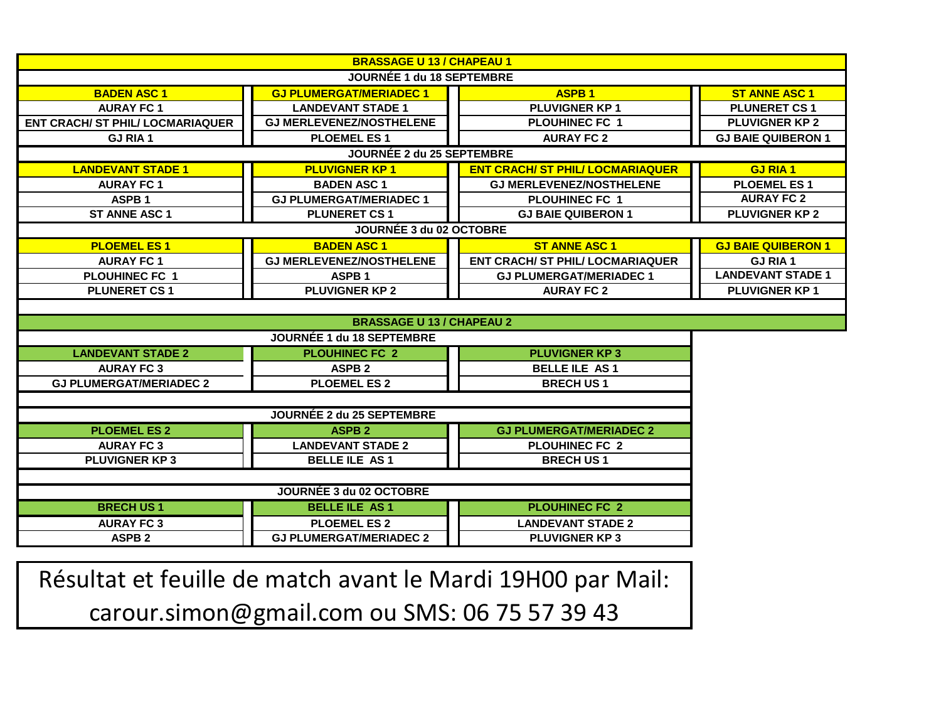| <b>BRASSAGE U 13 / CHAPEAU 1</b>        |                                 |                                         |                           |  |  |
|-----------------------------------------|---------------------------------|-----------------------------------------|---------------------------|--|--|
| JOURNÉE 1 du 18 SEPTEMBRE               |                                 |                                         |                           |  |  |
| <b>BADEN ASC 1</b>                      | <b>GJ PLUMERGAT/MERIADEC1</b>   | <b>ASPB1</b>                            | <b>ST ANNE ASC 1</b>      |  |  |
| <b>AURAY FC 1</b>                       | <b>LANDEVANT STADE 1</b>        | PLUVIGNER KP1                           | <b>PLUNERET CS1</b>       |  |  |
| <b>ENT CRACH/ ST PHIL/ LOCMARIAQUER</b> | <b>GJ MERLEVENEZ/NOSTHELENE</b> | <b>PLOUHINEC FC 1</b>                   | <b>PLUVIGNER KP 2</b>     |  |  |
| <b>GJ RIA 1</b>                         | <b>PLOEMEL ES1</b>              | <b>AURAY FC 2</b>                       | <b>GJ BAIE QUIBERON 1</b> |  |  |
| JOURNÉE 2 du 25 SEPTEMBRE               |                                 |                                         |                           |  |  |
| <b>LANDEVANT STADE 1</b>                | <b>PLUVIGNER KP1</b>            | <b>ENT CRACH/ ST PHIL/ LOCMARIAQUER</b> | <b>GJ RIA 1</b>           |  |  |
| <b>AURAY FC 1</b>                       | <b>BADEN ASC 1</b>              | <b>GJ MERLEVENEZ/NOSTHELENE</b>         | <b>PLOEMEL ES1</b>        |  |  |
| ASPB <sub>1</sub>                       | <b>GJ PLUMERGAT/MERIADEC 1</b>  | <b>PLOUHINEC FC 1</b>                   | <b>AURAY FC 2</b>         |  |  |
| <b>ST ANNE ASC 1</b>                    | <b>PLUNERET CS 1</b>            | <b>GJ BAIE QUIBERON 1</b>               | <b>PLUVIGNER KP 2</b>     |  |  |
|                                         | JOURNÉE 3 du 02 OCTOBRE         |                                         |                           |  |  |
| <b>PLOEMEL ES1</b>                      | <b>BADEN ASC 1</b>              | <b>ST ANNE ASC 1</b>                    | <b>GJ BAIE QUIBERON 1</b> |  |  |
| <b>AURAY FC 1</b>                       | <b>GJ MERLEVENEZ/NOSTHELENE</b> | <b>ENT CRACH/ ST PHIL/ LOCMARIAQUER</b> | <b>GJ RIA1</b>            |  |  |
| <b>PLOUHINEC FC 1</b>                   | ASPB <sub>1</sub>               | <b>GJ PLUMERGAT/MERIADEC 1</b>          | <b>LANDEVANT STADE 1</b>  |  |  |
| <b>PLUNERET CS1</b>                     | <b>PLUVIGNER KP 2</b>           | <b>AURAY FC 2</b>                       | <b>PLUVIGNER KP1</b>      |  |  |
|                                         |                                 |                                         |                           |  |  |
| <b>BRASSAGE U 13 / CHAPEAU 2</b>        |                                 |                                         |                           |  |  |
| JOURNÉE 1 du 18 SEPTEMBRE               |                                 |                                         |                           |  |  |
| <b>LANDEVANT STADE 2</b>                | <b>PLOUHINEC FC 2</b>           | <b>PLUVIGNER KP3</b>                    |                           |  |  |
| <b>AURAY FC 3</b>                       | <b>ASPB 2</b>                   | <b>BELLE ILE AS1</b>                    |                           |  |  |
| <b>GJ PLUMERGAT/MERIADEC 2</b>          | <b>PLOEMEL ES 2</b>             | <b>BRECH US1</b>                        |                           |  |  |
|                                         |                                 |                                         |                           |  |  |
| JOURNÉE 2 du 25 SEPTEMBRE               |                                 |                                         |                           |  |  |
| <b>PLOEMEL ES 2</b>                     | <b>ASPB 2</b>                   | <b>GJ PLUMERGAT/MERIADEC 2</b>          |                           |  |  |
| <b>AURAY FC 3</b>                       | <b>LANDEVANT STADE 2</b>        | <b>PLOUHINEC FC 2</b>                   |                           |  |  |
| <b>PLUVIGNER KP3</b>                    | <b>BELLE ILE AS1</b>            | <b>BRECH US1</b>                        |                           |  |  |
|                                         |                                 |                                         |                           |  |  |
| JOURNÉE 3 du 02 OCTOBRE                 |                                 |                                         |                           |  |  |
| <b>BRECH US1</b>                        | <b>BELLE ILE AS1</b>            | <b>PLOUHINEC FC 2</b>                   |                           |  |  |
| <b>AURAY FC 3</b>                       | <b>PLOEMEL ES 2</b>             | <b>LANDEVANT STADE 2</b>                |                           |  |  |
| <b>ASPB 2</b>                           | <b>GJ PLUMERGAT/MERIADEC 2</b>  | <b>PLUVIGNER KP3</b>                    |                           |  |  |

Résultat et feuille de match avant le Mardi 19H00 par Mail: carour.simon@gmail.com ou SMS: 06 75 57 39 43